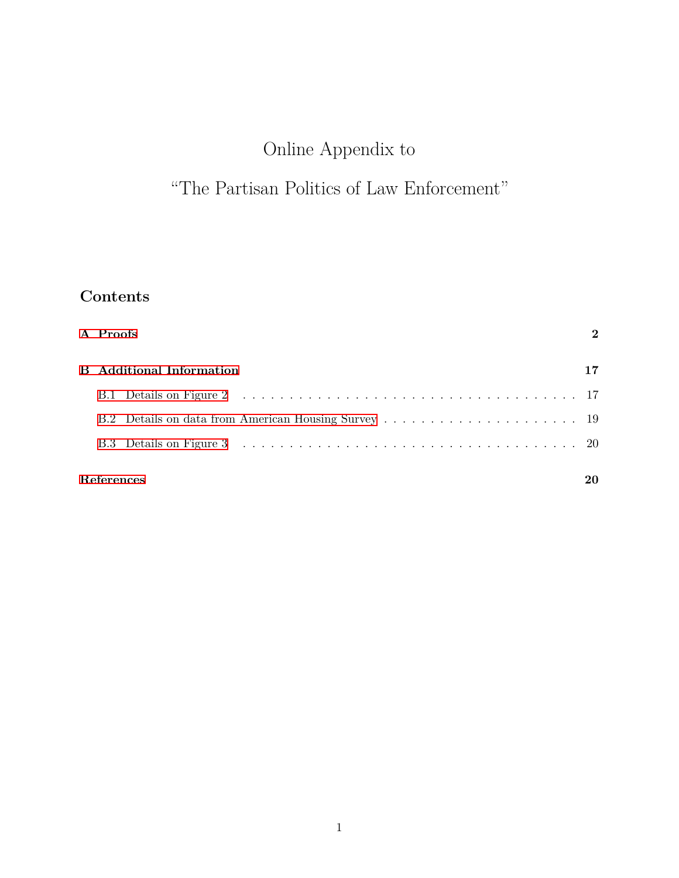# Online Appendix to

## "The Partisan Politics of Law Enforcement"

## **Contents**

| A Proofs                        | $\mathcal{D}$ |
|---------------------------------|---------------|
| <b>B</b> Additional Information | 17            |
|                                 |               |
|                                 |               |
|                                 |               |
| References                      |               |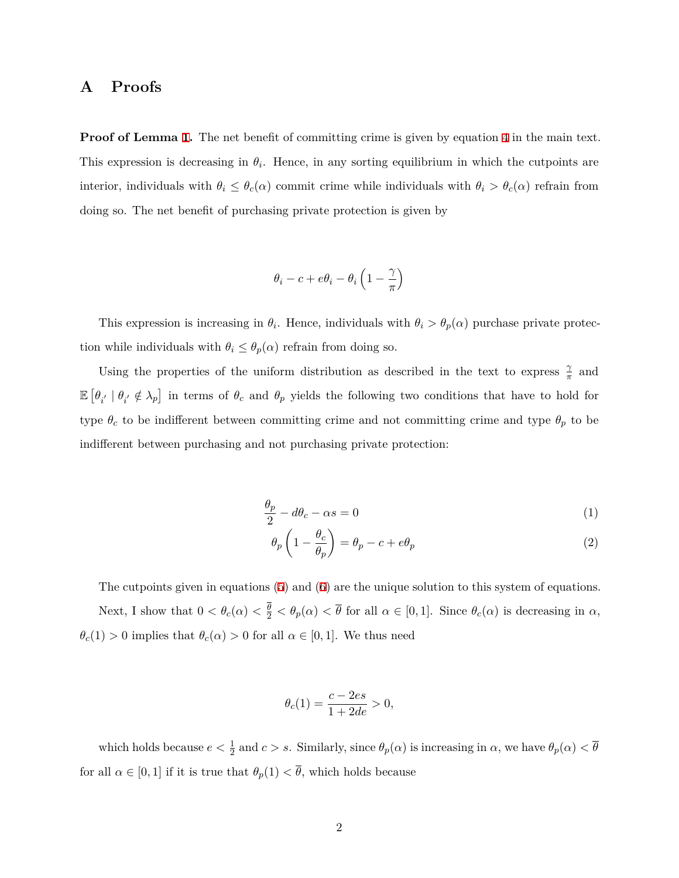## <span id="page-1-0"></span>**A Proofs**

**Proof of Lemma 1.** The net benefit of committing crime is given by equation 4 in the main text. This expression is decreasing in  $\theta_i$ . Hence, in any sorting equilibrium in which the cutpoints are interior, individuals with  $\theta_i \leq \theta_c(\alpha)$  commit crime while individuals with  $\theta_i > \theta_c(\alpha)$  refrain from doing so. The net benefit of purchasing private protection is given by

$$
\theta_i-c+e\theta_i-\theta_i\left(1-\frac{\gamma}{\pi}\right)
$$

This expression is increasing in  $\theta_i$ . Hence, individuals with  $\theta_i > \theta_p(\alpha)$  purchase private protection while individuals with  $\theta_i \leq \theta_p(\alpha)$  refrain from doing so.

Using the properties of the uniform distribution as described in the text to express  $\frac{\gamma}{\pi}$  and  $\mathbb{E}\left[\theta_{i'}\mid\theta_{i'}\notin\lambda_p\right]$  in terms of  $\theta_c$  and  $\theta_p$  yields the following two conditions that have to hold for type  $\theta_c$  to be indifferent between committing crime and not committing crime and type  $\theta_p$  to be indifferent between purchasing and not purchasing private protection:

$$
\frac{\theta_p}{2} - d\theta_c - \alpha s = 0\tag{1}
$$

$$
\theta_p \left( 1 - \frac{\theta_c}{\theta_p} \right) = \theta_p - c + e\theta_p \tag{2}
$$

The cutpoints given in equations (5) and (6) are the unique solution to this system of equations. Next, I show that  $0 < \theta_c(\alpha) < \frac{\theta}{2} < \theta_p(\alpha) < \overline{\theta}$  for all  $\alpha \in [0,1]$ . Since  $\theta_c(\alpha)$  is decreasing in  $\alpha$ ,  $\theta_c(1) > 0$  implies that  $\theta_c(\alpha) > 0$  for all  $\alpha \in [0, 1]$ . We thus need

$$
\theta_c(1) = \frac{c - 2es}{1 + 2de} > 0,
$$

which holds because  $e < \frac{1}{2}$  and  $c > s$ . Similarly, since  $\theta_p(\alpha)$  is increasing in  $\alpha$ , we have  $\theta_p(\alpha) < \overline{\theta}$ for all  $\alpha \in [0, 1]$  if it is true that  $\theta_p(1) < \overline{\theta}$ , which holds because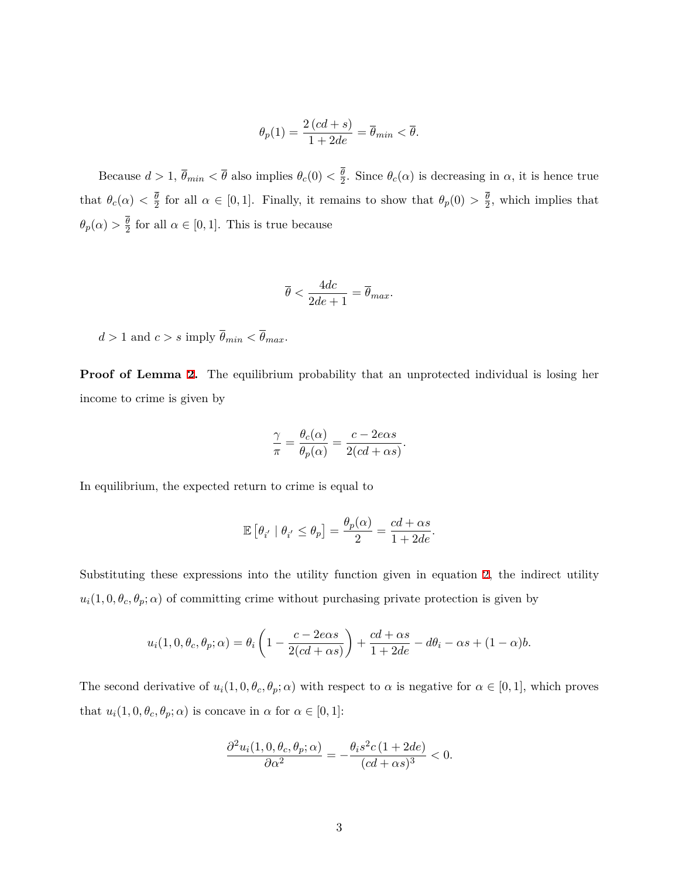$$
\theta_p(1) = \frac{2\left(cd+s\right)}{1+2de} = \overline{\theta}_{min} < \overline{\theta}.
$$

Because  $d > 1$ ,  $\overline{\theta}_{min} < \overline{\theta}$  also implies  $\theta_c(0) < \frac{\theta}{2}$  $\frac{\theta}{2}$ . Since  $\theta_c(\alpha)$  is decreasing in  $\alpha$ , it is hence true that  $\theta_c(\alpha) < \frac{\theta}{2}$  $\frac{\theta}{2}$  for all  $\alpha \in [0, 1]$ . Finally, it remains to show that  $\theta_p(0) > \frac{\theta}{2}$  $\frac{\theta}{2}$ , which implies that  $\theta_p(\alpha) > \frac{\theta}{2}$  $\frac{\theta}{2}$  for all  $\alpha \in [0,1]$ . This is true because

$$
\overline{\theta} < \frac{4dc}{2de+1} = \overline{\theta}_{max}.
$$

 $d > 1$  and  $c > s$  imply  $\overline{\theta}_{min} < \overline{\theta}_{max}$ .

**Proof of Lemma 2.** The equilibrium probability that an unprotected individual is losing her income to crime is given by

$$
\frac{\gamma}{\pi} = \frac{\theta_c(\alpha)}{\theta_p(\alpha)} = \frac{c - 2e\alpha s}{2(cd + \alpha s)}.
$$

In equilibrium, the expected return to crime is equal to

$$
\mathbb{E}\left[\theta_{i'} \mid \theta_{i'} \le \theta_p\right] = \frac{\theta_p(\alpha)}{2} = \frac{cd + \alpha s}{1 + 2de}.
$$

Substituting these expressions into the utility function given in equation 2, the indirect utility  $u_i(1,0,\theta_c,\theta_p;\alpha)$  of committing crime without purchasing private protection is given by

$$
u_i(1,0,\theta_c,\theta_p;\alpha) = \theta_i\left(1 - \frac{c - 2e\alpha s}{2(cd + \alpha s)}\right) + \frac{cd + \alpha s}{1 + 2de} - d\theta_i - \alpha s + (1 - \alpha)b.
$$

The second derivative of  $u_i(1, 0, \theta_c, \theta_p; \alpha)$  with respect to  $\alpha$  is negative for  $\alpha \in [0, 1]$ , which proves that  $u_i(1, 0, \theta_c, \theta_p; \alpha)$  is concave in  $\alpha$  for  $\alpha \in [0, 1]$ :

$$
\frac{\partial^2 u_i(1,0,\theta_c,\theta_p;\alpha)}{\partial \alpha^2} = -\frac{\theta_i s^2 c (1+2de)}{(cd+\alpha s)^3} < 0.
$$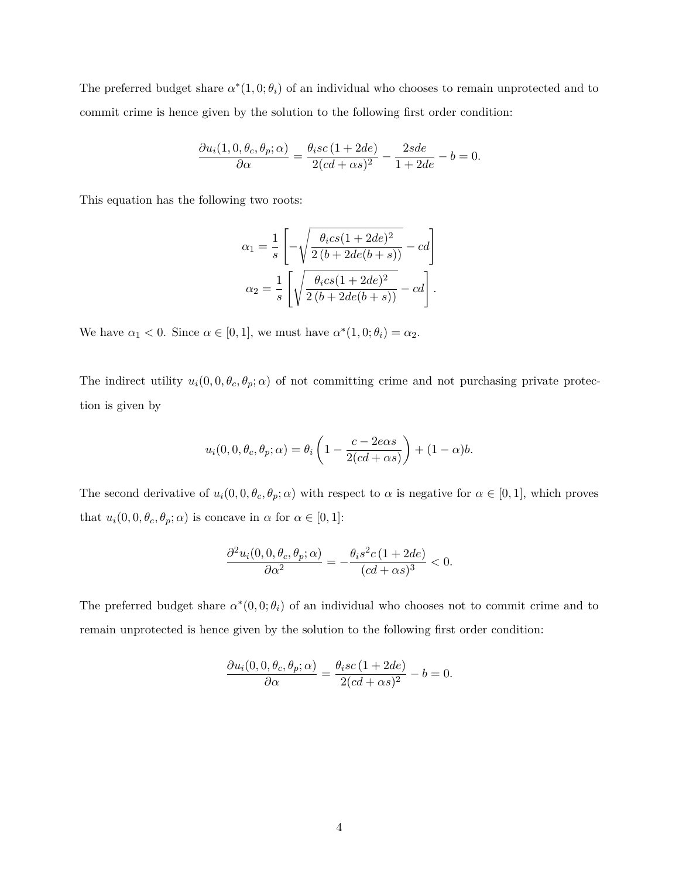The preferred budget share  $\alpha^*(1,0;\theta_i)$  of an individual who chooses to remain unprotected and to commit crime is hence given by the solution to the following first order condition:

$$
\frac{\partial u_i(1,0,\theta_c,\theta_p;\alpha)}{\partial \alpha} = \frac{\theta_i sc \left( 1 + 2de \right)}{2(cd+\alpha s)^2} - \frac{2sde}{1 + 2de} - b = 0.
$$

This equation has the following two roots:

$$
\alpha_1 = \frac{1}{s} \left[ -\sqrt{\frac{\theta_i cs (1 + 2de)^2}{2 (b + 2de(b + s))}} - cd \right]
$$

$$
\alpha_2 = \frac{1}{s} \left[ \sqrt{\frac{\theta_i cs (1 + 2de)^2}{2 (b + 2de(b + s))}} - cd \right].
$$

We have  $\alpha_1 < 0$ . Since  $\alpha \in [0, 1]$ , we must have  $\alpha^*(1, 0; \theta_i) = \alpha_2$ .

The indirect utility  $u_i(0,0,\theta_c,\theta_p;\alpha)$  of not committing crime and not purchasing private protection is given by

$$
u_i(0,0,\theta_c,\theta_p;\alpha) = \theta_i\left(1 - \frac{c - 2e\alpha s}{2(cd + \alpha s)}\right) + (1 - \alpha)b.
$$

The second derivative of  $u_i(0, 0, \theta_c, \theta_p; \alpha)$  with respect to  $\alpha$  is negative for  $\alpha \in [0, 1]$ , which proves that  $u_i(0, 0, \theta_c, \theta_p; \alpha)$  is concave in  $\alpha$  for  $\alpha \in [0, 1]$ :

$$
\frac{\partial^2 u_i(0,0,\theta_c,\theta_p;\alpha)}{\partial \alpha^2}=-\frac{\theta_i s^2 c \left(1+2de\right)}{(cd+\alpha s)^3}<0.
$$

The preferred budget share  $\alpha^*(0,0;\theta_i)$  of an individual who chooses not to commit crime and to remain unprotected is hence given by the solution to the following first order condition:

$$
\frac{\partial u_i(0,0,\theta_c,\theta_p;\alpha)}{\partial \alpha} = \frac{\theta_i sc \left(1 + 2de\right)}{2(cd + \alpha s)^2} - b = 0.
$$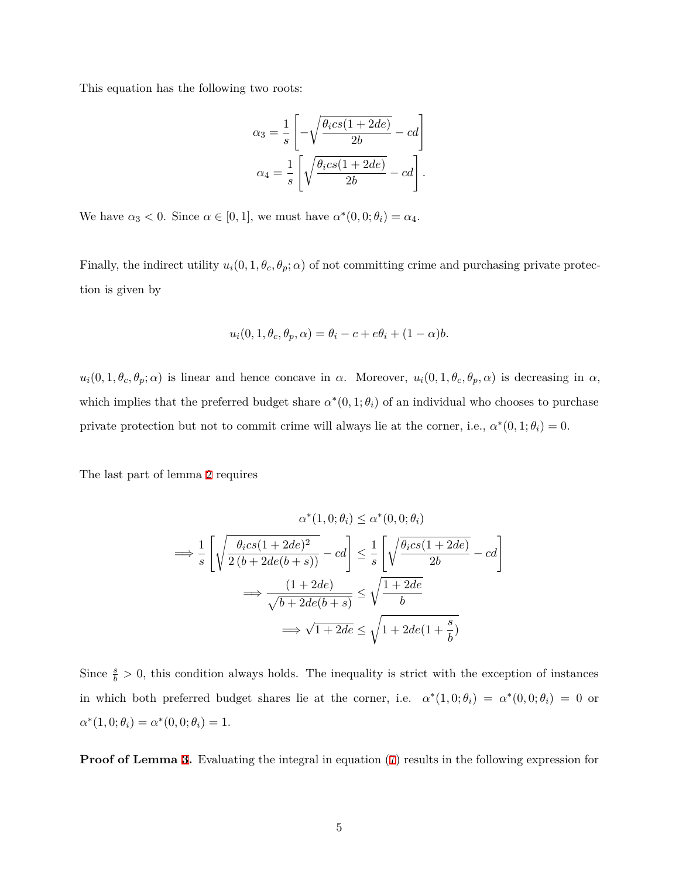This equation has the following two roots:

$$
\alpha_3 = \frac{1}{s} \left[ -\sqrt{\frac{\theta_i cs(1+2de)}{2b}} - cd \right]
$$

$$
\alpha_4 = \frac{1}{s} \left[ \sqrt{\frac{\theta_i cs(1+2de)}{2b}} - cd \right].
$$

We have  $\alpha_3 < 0$ . Since  $\alpha \in [0, 1]$ , we must have  $\alpha^*(0, 0; \theta_i) = \alpha_4$ .

Finally, the indirect utility  $u_i(0, 1, \theta_c, \theta_p; \alpha)$  of not committing crime and purchasing private protection is given by

$$
u_i(0, 1, \theta_c, \theta_p, \alpha) = \theta_i - c + e\theta_i + (1 - \alpha)b.
$$

 $u_i(0,1,\theta_c,\theta_p;\alpha)$  is linear and hence concave in  $\alpha$ . Moreover,  $u_i(0,1,\theta_c,\theta_p,\alpha)$  is decreasing in  $\alpha$ , which implies that the preferred budget share  $\alpha^*(0,1;\theta_i)$  of an individual who chooses to purchase private protection but not to commit crime will always lie at the corner, i.e.,  $\alpha^*(0,1;\theta_i) = 0$ .

The last part of lemma 2 requires

$$
\alpha^*(1,0;\theta_i) \le \alpha^*(0,0;\theta_i)
$$
  
\n
$$
\implies \frac{1}{s} \left[ \sqrt{\frac{\theta_i cs(1+2de)^2}{2(b+2de(b+s))}} - cd \right] \le \frac{1}{s} \left[ \sqrt{\frac{\theta_i cs(1+2de)}{2b}} - cd \right]
$$
  
\n
$$
\implies \frac{(1+2de)}{\sqrt{b+2de(b+s)}} \le \sqrt{\frac{1+2de}{b}}
$$
  
\n
$$
\implies \sqrt{1+2de} \le \sqrt{1+2de(1+\frac{s}{b})}
$$

Since  $\frac{s}{b} > 0$ , this condition always holds. The inequality is strict with the exception of instances in which both preferred budget shares lie at the corner, i.e.  $\alpha^*(1,0;\theta_i) = \alpha^*(0,0;\theta_i) = 0$  or  $\alpha^*(1,0;\theta_i) = \alpha^*(0,0;\theta_i) = 1.$ 

**Proof of Lemma 3.** Evaluating the integral in equation (7) results in the following expression for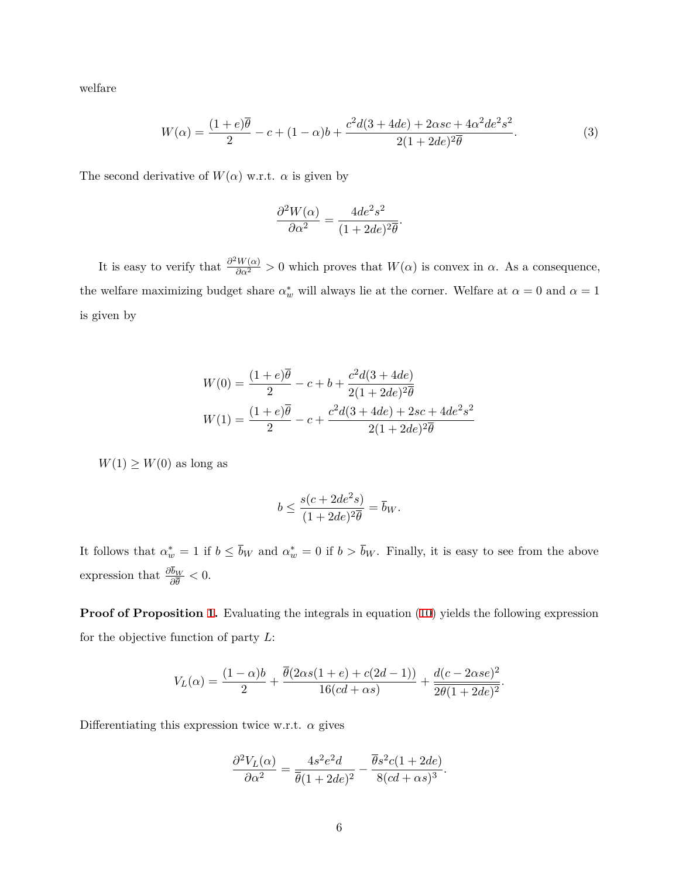welfare

$$
W(\alpha) = \frac{(1+e)\overline{\theta}}{2} - c + (1-\alpha)b + \frac{c^2d(3+4de) + 2\alpha sc + 4\alpha^2de^2s^2}{2(1+2de)^2\overline{\theta}}.
$$
 (3)

The second derivative of  $W(\alpha)$  w.r.t.  $\alpha$  is given by

<span id="page-5-0"></span>
$$
\frac{\partial^2 W(\alpha)}{\partial \alpha^2} = \frac{4de^2s^2}{(1+2de)^2\overline{\theta}}.
$$

It is easy to verify that  $\frac{\partial^2 W(\alpha)}{\partial \alpha^2} > 0$  which proves that  $W(\alpha)$  is convex in  $\alpha$ . As a consequence, the welfare maximizing budget share  $\alpha_w^*$  will always lie at the corner. Welfare at  $\alpha = 0$  and  $\alpha = 1$ is given by

$$
W(0) = \frac{(1+e)\overline{\theta}}{2} - c + b + \frac{c^2d(3+4de)}{2(1+2de)^2\overline{\theta}}
$$
  

$$
W(1) = \frac{(1+e)\overline{\theta}}{2} - c + \frac{c^2d(3+4de) + 2sc + 4de^2s^2}{2(1+2de)^2\overline{\theta}}
$$

 $W(1) \geq W(0)$  as long as

$$
b \le \frac{s(c + 2de^2s)}{(1 + 2de)^2\overline{\theta}} = \overline{b}_W.
$$

It follows that  $\alpha_w^* = 1$  if  $b \leq b_W$  and  $\alpha_w^* = 0$  if  $b > b_W$ . Finally, it is easy to see from the above expression that  $\frac{\partial b_W}{\partial \overline{\theta}} < 0$ .

**Proof of Proposition 1.** Evaluating the integrals in equation (10) yields the following expression for the objective function of party *L*:

$$
V_L(\alpha) = \frac{(1-\alpha)b}{2} + \frac{\overline{\theta}(2\alpha s(1+e) + c(2d-1))}{16(cd+\alpha s)} + \frac{d(c-2\alpha s e)^2}{2\overline{\theta}(1+2de)^2}.
$$

Differentiating this expression twice w.r.t.  $\alpha$  gives

$$
\frac{\partial^2 V_L(\alpha)}{\partial \alpha^2} = \frac{4s^2e^2d}{\overline{\theta}(1+2de)^2} - \frac{\overline{\theta}s^2c(1+2de)}{8(cd+\alpha s)^3}.
$$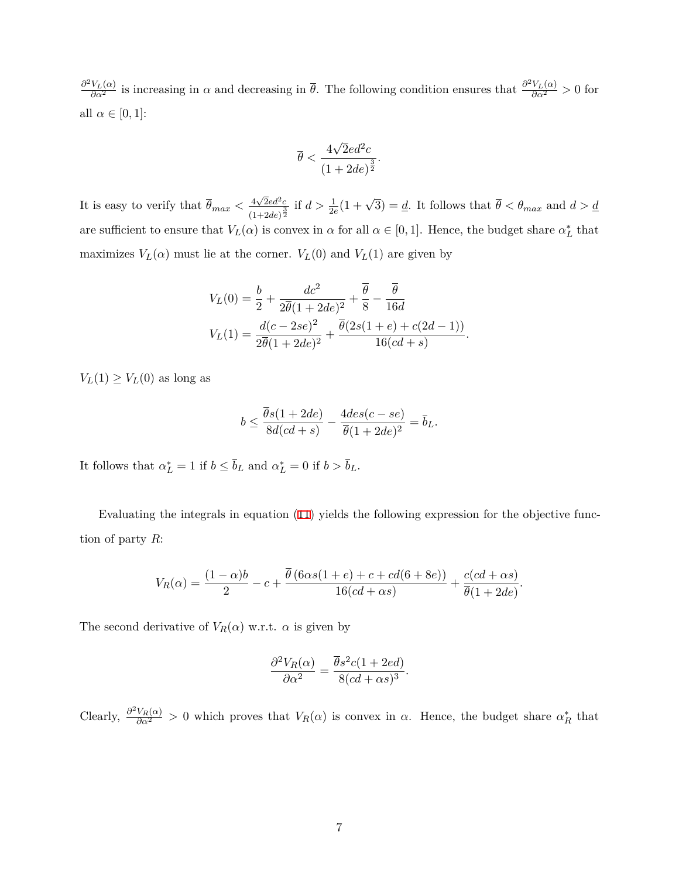$\frac{\partial^2 V_L(\alpha)}{\partial \alpha^2}$  is increasing in *α* and decreasing in  $\bar{\theta}$ . The following condition ensures that  $\frac{\partial^2 V_L(\alpha)}{\partial \alpha^2} > 0$  for all  $\alpha \in [0, 1]$ :

$$
\overline{\theta} < \frac{4\sqrt{2}ed^2c}{(1+2de)^{\frac{3}{2}}}.
$$

It is easy to verify that  $\overline{\theta}_{max} < \frac{4\sqrt{2}ed^2c}{(1-\epsilon)^{3/2}}$  $\frac{4\sqrt{2}ed^2c}{(1+2de)^{\frac{3}{2}}}$  if  $d > \frac{1}{2e}(1+\sqrt{3}) = \underline{d}$ . It follows that  $\overline{\theta} < \theta_{max}$  and  $d > \underline{d}$ are sufficient to ensure that  $V_L(\alpha)$  is convex in  $\alpha$  for all  $\alpha \in [0,1]$ . Hence, the budget share  $\alpha_L^*$  that maximizes  $V_L(\alpha)$  must lie at the corner.  $V_L(0)$  and  $V_L(1)$  are given by

$$
V_L(0) = \frac{b}{2} + \frac{dc^2}{2\overline{\theta}(1+2de)^2} + \frac{\overline{\theta}}{8} - \frac{\overline{\theta}}{16d}
$$
  

$$
V_L(1) = \frac{d(c-2se)^2}{2\overline{\theta}(1+2de)^2} + \frac{\overline{\theta}(2s(1+e) + c(2d-1))}{16(cd+s)}.
$$

 $V_L(1) \geq V_L(0)$  as long as

$$
b \le \frac{\overline{\theta}s(1+2de)}{8d(cd+s)} - \frac{4des(c-se)}{\overline{\theta}(1+2de)^2} = \overline{b}_L.
$$

It follows that  $\alpha_L^* = 1$  if  $b \leq b_L$  and  $\alpha_L^* = 0$  if  $b > b_L$ .

Evaluating the integrals in equation (11) yields the following expression for the objective function of party *R*:

$$
V_R(\alpha) = \frac{(1-\alpha)b}{2} - c + \frac{\overline{\theta}(6\alpha s(1+e) + c + cd(6+8e))}{16(cd+\alpha s)} + \frac{c(cd+\alpha s)}{\overline{\theta}(1+2de)}.
$$

The second derivative of  $V_R(\alpha)$  w.r.t.  $\alpha$  is given by

$$
\frac{\partial^2 V_R(\alpha)}{\partial \alpha^2} = \frac{\overline{\theta} s^2 c (1 + 2ed)}{8(cd + \alpha s)^3}.
$$

Clearly,  $\frac{\partial^2 V_R(\alpha)}{\partial \alpha^2} > 0$  which proves that  $V_R(\alpha)$  is convex in  $\alpha$ . Hence, the budget share  $\alpha_R^*$  that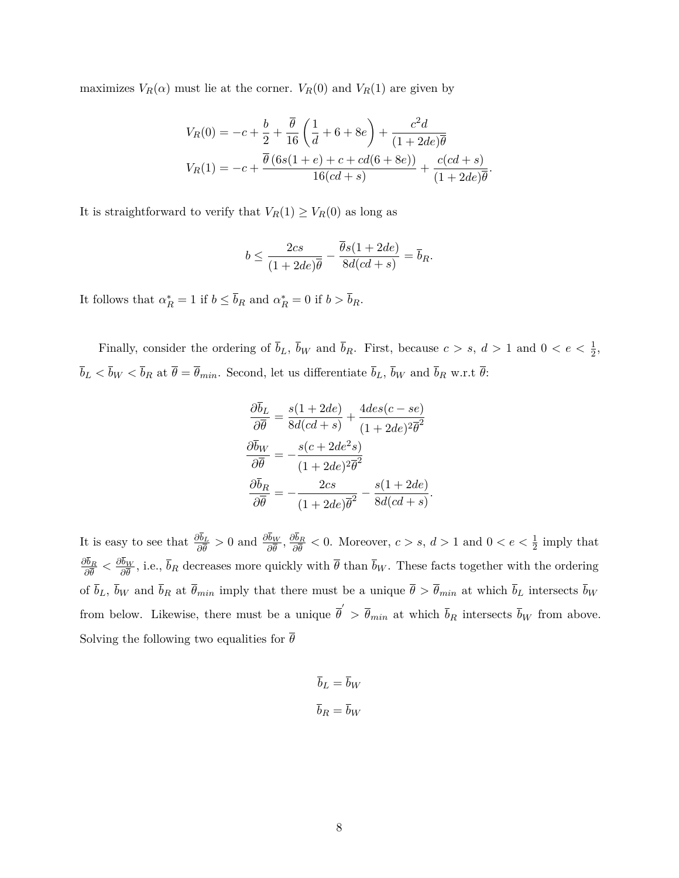maximizes  $V_R(\alpha)$  must lie at the corner.  $V_R(0)$  and  $V_R(1)$  are given by

$$
V_R(0) = -c + \frac{b}{2} + \frac{\overline{\theta}}{16} \left( \frac{1}{d} + 6 + 8e \right) + \frac{c^2 d}{(1 + 2de)\overline{\theta}}
$$
  

$$
V_R(1) = -c + \frac{\overline{\theta} (6s(1 + e) + c + cd(6 + 8e))}{16(cd + s)} + \frac{c(cd + s)}{(1 + 2de)\overline{\theta}}.
$$

It is straightforward to verify that  $V_R(1) \geq V_R(0)$  as long as

$$
b \le \frac{2cs}{(1+2de)\overline{\theta}} - \frac{\overline{\theta}s(1+2de)}{8d(cd+s)} = \overline{b}_R.
$$

It follows that  $\alpha_R^* = 1$  if  $b \leq b_R$  and  $\alpha_R^* = 0$  if  $b > b_R$ .

Finally, consider the ordering of  $\bar{b}_L$ ,  $\bar{b}_W$  and  $\bar{b}_R$ . First, because  $c > s$ ,  $d > 1$  and  $0 < e < \frac{1}{2}$ ,  $\overline{b}_L < \overline{b}_W < \overline{b}_R$  at  $\overline{\theta} = \overline{\theta}_{min}$ . Second, let us differentiate  $\overline{b}_L$ ,  $\overline{b}_W$  and  $\overline{b}_R$  w.r.t  $\overline{\theta}$ :

$$
\frac{\partial \overline{b}_L}{\partial \overline{\theta}} = \frac{s(1+2de)}{8d(cd+s)} + \frac{4des(c-se)}{(1+2de)^2\overline{\theta}^2}
$$

$$
\frac{\partial \overline{b}_W}{\partial \overline{\theta}} = -\frac{s(c+2de^2s)}{(1+2de)^2\overline{\theta}^2}
$$

$$
\frac{\partial \overline{b}_R}{\partial \overline{\theta}} = -\frac{2cs}{(1+2de)\overline{\theta}^2} - \frac{s(1+2de)}{8d(cd+s)}.
$$

It is easy to see that  $\frac{\partial b_L}{\partial \theta} > 0$  and  $\frac{\partial b_W}{\partial \theta}$ ,  $\frac{\partial b_R}{\partial \theta}$  $\frac{\partial b_R}{\partial \theta}$  < 0. Moreover, *c* > *s*, *d* > 1 and 0 < *e* <  $\frac{1}{2}$  imply that *∂b<sup>R</sup>*  $\frac{\partial b_R}{\partial \overline{\theta}} < \frac{\partial b_W}{\partial \overline{\theta}}$  $\frac{\partial W}{\partial \theta}$ , i.e., *b<sub>R</sub>* decreases more quickly with *θ* than *b<sub>W</sub>*. These facts together with the ordering of  $\bar{b}_L$ ,  $\bar{b}_W$  and  $\bar{b}_R$  at  $\bar{\theta}_{min}$  imply that there must be a unique  $\bar{\theta} > \bar{\theta}_{min}$  at which  $\bar{b}_L$  intersects  $\bar{b}_W$ from below. Likewise, there must be a unique  $\overline{\theta}' > \overline{\theta}_{min}$  at which  $\overline{b}_R$  intersects  $\overline{b}_W$  from above. Solving the following two equalities for  $\overline{\theta}$ 

$$
\overline{b}_L = \overline{b}_W
$$

$$
\overline{b}_R = \overline{b}_W
$$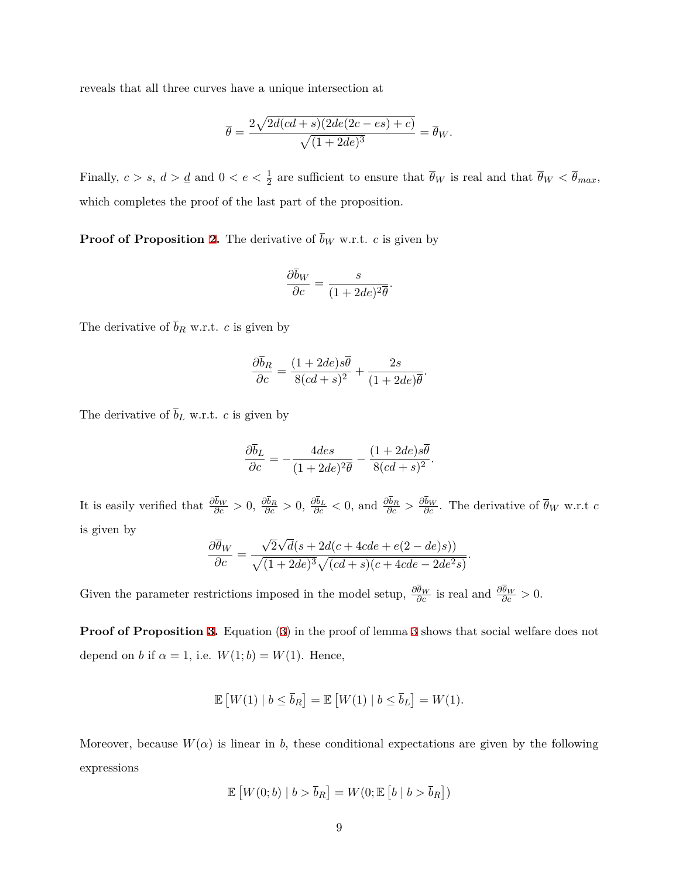reveals that all three curves have a unique intersection at

$$
\overline{\theta} = \frac{2\sqrt{2d(cd+s)(2de(2c-es) + c)}}{\sqrt{(1+2de)^3}} = \overline{\theta}_W.
$$

Finally,  $c > s$ ,  $d > \underline{d}$  and  $0 < e < \frac{1}{2}$  are sufficient to ensure that  $\overline{\theta}_W$  is real and that  $\overline{\theta}_W < \overline{\theta}_{max}$ , which completes the proof of the last part of the proposition.

**Proof of Proposition 2.** The derivative of  $\overline{b}_W$  w.r.t. *c* is given by

$$
\frac{\partial \overline{b}_W}{\partial c} = \frac{s}{(1 + 2de)^2 \overline{\theta}}.
$$

The derivative of  $\bar{b}_R$  w.r.t. *c* is given by

$$
\frac{\partial \bar{b}_R}{\partial c} = \frac{(1+2de)s\bar{\theta}}{8(cd+s)^2} + \frac{2s}{(1+2de)\bar{\theta}}.
$$

The derivative of  $\overline{b}_L$  w.r.t. *c* is given by

$$
\frac{\partial \overline{b}_L}{\partial c} = -\frac{4des}{(1+2de)^2 \overline{\theta}} - \frac{(1+2de)s\overline{\theta}}{8(cd+s)^2}.
$$

It is easily verified that  $\frac{\partial b_W}{\partial c} > 0$ ,  $\frac{\partial b_R}{\partial c} > 0$ ,  $\frac{\partial b_L}{\partial c} < 0$ , and  $\frac{\partial b_R}{\partial c} > \frac{\partial b_W}{\partial c}$ . The derivative of  $\overline{\theta}_W$  w.r.t c is given by *√ √*

$$
\frac{\partial \overline{\theta}_W}{\partial c} = \frac{\sqrt{2}\sqrt{d(s+2d(c+4cde+e(2-de)s))}}{\sqrt{(1+2de)^3}\sqrt{(cd+s)(c+4cde-2de^2s)}}.
$$

Given the parameter restrictions imposed in the model setup,  $\frac{\partial \theta_W}{\partial c}$  is real and  $\frac{\partial \theta_W}{\partial c} > 0$ .

**Proof of Proposition [3](#page-5-0).** Equation (3) in the proof of lemma 3 shows that social welfare does not depend on *b* if  $\alpha = 1$ , i.e.  $W(1;b) = W(1)$ . Hence,

$$
\mathbb{E}\left[W(1) \mid b \leq \overline{b}_R\right] = \mathbb{E}\left[W(1) \mid b \leq \overline{b}_L\right] = W(1).
$$

Moreover, because  $W(\alpha)$  is linear in *b*, these conditional expectations are given by the following expressions

$$
\mathbb{E}\left[W(0;b) \mid b > \overline{b}_R\right] = W(0;\mathbb{E}\left[b \mid b > \overline{b}_R\right])
$$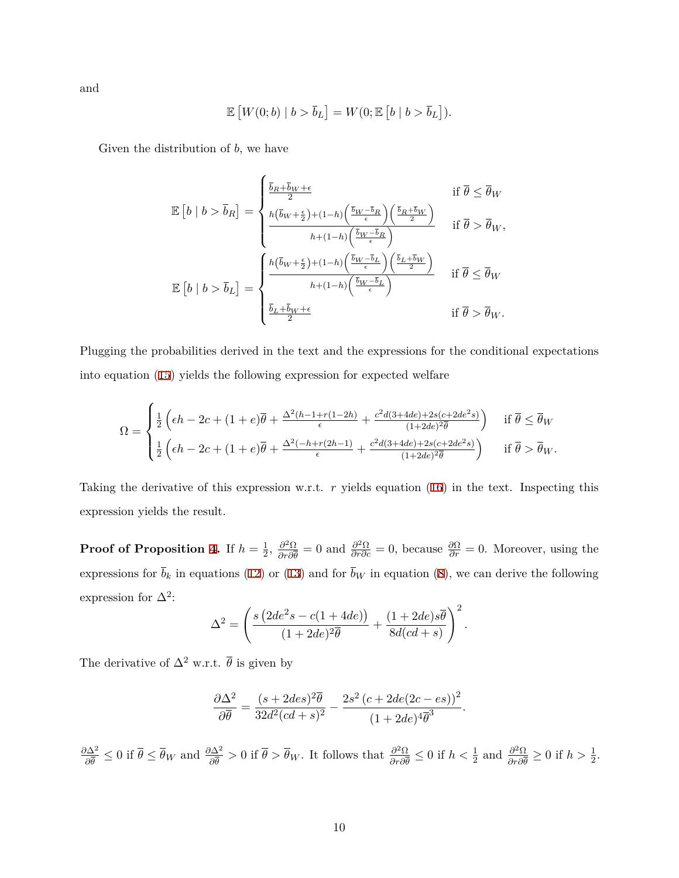and

$$
\mathbb{E}\left[W(0;b) \mid b > \overline{b}_L\right] = W(0;\mathbb{E}\left[b \mid b > \overline{b}_L\right]).
$$

Given the distribution of *b*, we have

$$
\mathbb{E}\left[b \mid b > \overline{b}_R\right] = \begin{cases} \frac{\overline{b}_R + \overline{b}_W + \epsilon}{2} & \text{if } \overline{\theta} \leq \overline{\theta}_W \\ \frac{h(\overline{b}_W + \frac{\epsilon}{2}) + (1-h)\left(\frac{\overline{b}_W - \overline{b}_R}{\epsilon}\right)\left(\frac{\overline{b}_R + \overline{b}_W}{2}\right)}{h + (1-h)\left(\frac{\overline{b}_W - \overline{b}_R}{\epsilon}\right)} & \text{if } \overline{\theta} > \overline{\theta}_W, \\ \frac{h(\overline{b}_W + \frac{\epsilon}{2}) + (1-h)\left(\frac{\overline{b}_W - \overline{b}_L}{\epsilon}\right)\left(\frac{\overline{b}_L + \overline{b}_W}{2}\right)}{h + (1-h)\left(\frac{\overline{b}_W - \overline{b}_L}{\epsilon}\right)} & \text{if } \overline{\theta} \leq \overline{\theta}_W \\ \frac{\overline{b}_L + \overline{b}_W + \epsilon}{2} & \text{if } \overline{\theta} > \overline{\theta}_W. \end{cases}
$$

Plugging the probabilities derived in the text and the expressions for the conditional expectations into equation (15) yields the following expression for expected welfare

$$
\Omega = \begin{cases} \frac{1}{2} \left( \epsilon h - 2c + (1+e)\overline{\theta} + \frac{\Delta^2 (h-1+r(1-2h)}{\epsilon} + \frac{c^2 d (3+4de) + 2s(c+2de^2s)}{(1+2de)^2 \overline{\theta}} \right) & \text{if } \overline{\theta} \le \overline{\theta}_W \\ \frac{1}{2} \left( \epsilon h - 2c + (1+e)\overline{\theta} + \frac{\Delta^2 (-h+r(2h-1)}{\epsilon} + \frac{c^2 d (3+4de) + 2s(c+2de^2s)}{(1+2de)^2 \overline{\theta}} \right) & \text{if } \overline{\theta} > \overline{\theta}_W. \end{cases}
$$

Taking the derivative of this expression w.r.t. *r* yields equation (16) in the text. Inspecting this expression yields the result.

**Proof of Proposition 4.** If  $h = \frac{1}{2}$  $\frac{1}{2}, \frac{\partial^2 \Omega}{\partial r \partial \bar{\theta}}$  $\frac{\partial^2 \Omega}{\partial r \partial \bar{\theta}} = 0$  and  $\frac{\partial^2 \Omega}{\partial r \partial c} = 0$ , because  $\frac{\partial \Omega}{\partial r} = 0$ . Moreover, using the expressions for  $\bar{b}_k$  in equations (12) or (13) and for  $\bar{b}_W$  in equation (8), we can derive the following expression for  $\Delta^2$ :

$$
\Delta^{2} = \left(\frac{s\left(2de^{2}s - c(1+4de)\right)}{(1+2de)^{2}\overline{\theta}} + \frac{(1+2de)s\overline{\theta}}{8d(cd+s)}\right)^{2}.
$$

The derivative of  $\Delta^2$  w.r.t.  $\bar{\theta}$  is given by

$$
\frac{\partial \Delta^2}{\partial \overline{\theta}} = \frac{(s + 2des)^2 \overline{\theta}}{32d^2(cd + s)^2} - \frac{2s^2(c + 2de(2c - es))^2}{(1 + 2de)^4 \overline{\theta}^3}
$$

*.*

*∂*∆<sup>2</sup>  $\frac{\partial \Delta^2}{\partial \bar{\theta}} \leq 0$  if  $\bar{\theta} \leq \bar{\theta}_W$  and  $\frac{\partial \Delta^2}{\partial \bar{\theta}} > 0$  if  $\bar{\theta} > \bar{\theta}_W$ . It follows that  $\frac{\partial^2 \Omega}{\partial r \partial \bar{\theta}}$  $\frac{\partial^2 \Omega}{\partial r \partial \bar{\theta}} \leq 0$  if  $h < \frac{1}{2}$  and  $\frac{\partial^2 \Omega}{\partial r \partial \bar{\theta}}$  $\frac{\partial^2 \Omega}{\partial r \partial \overline{\theta}} \ge 0$  if  $h > \frac{1}{2}$ .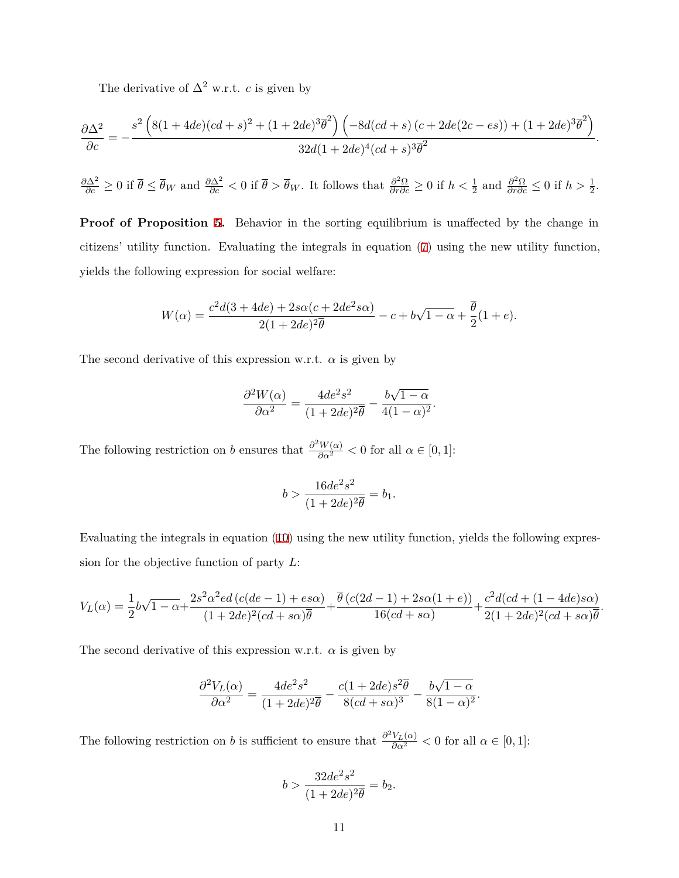The derivative of  $\Delta^2$  w.r.t. *c* is given by

$$
\frac{\partial \Delta^2}{\partial c} = -\frac{s^2 \left(8(1+4de)(cd+s)^2 + (1+2de)^3 \overline{\theta}^2\right) \left(-8d(cd+s)\left(c+2de(2c-es)\right)+(1+2de)^3 \overline{\theta}^2\right)}{32d(1+2de)^4(cd+s)^3\overline{\theta}^2}.
$$

 $\frac{\partial \Delta^2}{\partial c} \ge 0$  if  $\bar{\theta} \le \bar{\theta}_W$  and  $\frac{\partial \Delta^2}{\partial c} < 0$  if  $\bar{\theta} > \bar{\theta}_W$ . It follows that  $\frac{\partial^2 \Omega}{\partial r \partial c} \ge 0$  if  $h < \frac{1}{2}$  and  $\frac{\partial^2 \Omega}{\partial r \partial c} \le 0$  if  $h > \frac{1}{2}$ .

**Proof of Proposition 5.** Behavior in the sorting equilibrium is unaffected by the change in citizens' utility function. Evaluating the integrals in equation (7) using the new utility function, yields the following expression for social welfare:

$$
W(\alpha)=\frac{c^2d(3+4de)+2s\alpha(c+2de^2s\alpha)}{2(1+2de)^2\overline{\theta}}-c+b\sqrt{1-\alpha}+\frac{\overline{\theta}}{2}(1+e).
$$

The second derivative of this expression w.r.t.  $\alpha$  is given by

$$
\frac{\partial^2 W(\alpha)}{\partial \alpha^2} = \frac{4de^2s^2}{(1+2de)^2\overline{\theta}} - \frac{b\sqrt{1-\alpha}}{4(1-\alpha)^2}.
$$

The following restriction on *b* ensures that  $\frac{\partial^2 W(\alpha)}{\partial \alpha^2} < 0$  for all  $\alpha \in [0,1]$ :

$$
b > \frac{16de^2s^2}{(1+2de)^2\overline{\theta}} = b_1.
$$

Evaluating the integrals in equation (10) using the new utility function, yields the following expression for the objective function of party *L*:

$$
V_L(\alpha) = \frac{1}{2}b\sqrt{1-\alpha} + \frac{2s^2\alpha^2ed\left(c(de-1) + es\alpha\right)}{(1+2de)^2(cd+s\alpha)\overline{\theta}} + \frac{\overline{\theta}\left(c(2d-1) + 2s\alpha(1+e)\right)}{16(cd+s\alpha)} + \frac{c^2d(cd+(1-4de)s\alpha)}{2(1+2de)^2(cd+s\alpha)\overline{\theta}}.
$$

The second derivative of this expression w.r.t. *α* is given by

$$
\frac{\partial^2 V_L(\alpha)}{\partial \alpha^2} = \frac{4de^2s^2}{(1+2de)^2\overline{\theta}} - \frac{c(1+2de)s^2\overline{\theta}}{8(cd+s\alpha)^3} - \frac{b\sqrt{1-\alpha}}{8(1-\alpha)^2}.
$$

The following restriction on *b* is sufficient to ensure that  $\frac{\partial^2 V_L(\alpha)}{\partial \alpha^2} < 0$  for all  $\alpha \in [0,1]$ :

$$
b > \frac{32de^2s^2}{(1+2de)^2\overline{\theta}} = b_2.
$$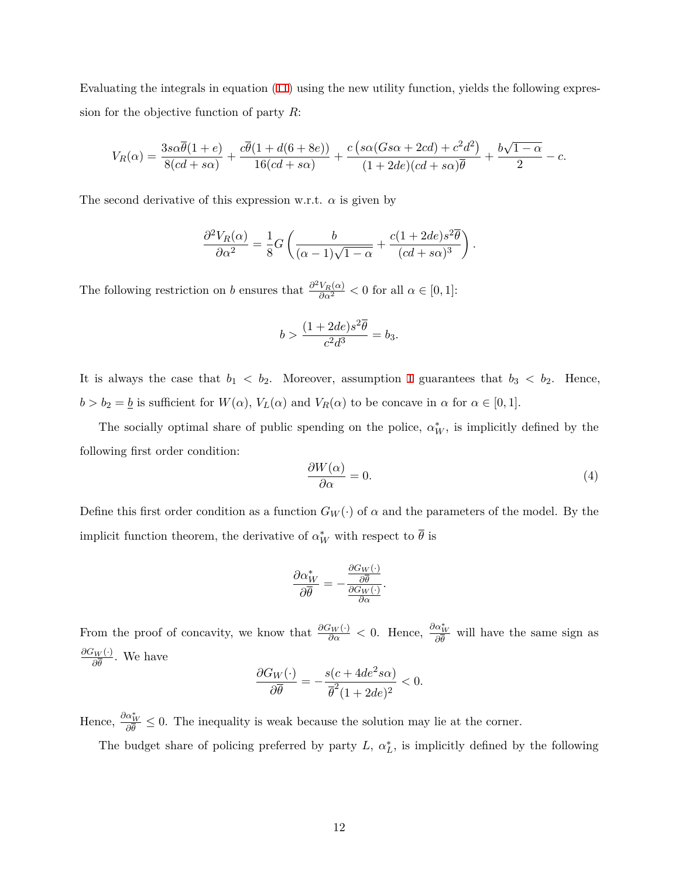Evaluating the integrals in equation (11) using the new utility function, yields the following expression for the objective function of party *R*:

$$
V_R(\alpha) = \frac{3s\alpha\overline{\theta}(1+e)}{8(cd+s\alpha)} + \frac{c\overline{\theta}(1+d(6+8e))}{16(cd+s\alpha)} + \frac{c\left(s\alpha(Gs\alpha+2cd)+c^2d^2\right)}{(1+2de)(cd+s\alpha)\overline{\theta}} + \frac{b\sqrt{1-\alpha}}{2} - c.
$$

The second derivative of this expression w.r.t.  $\alpha$  is given by

$$
\frac{\partial^2 V_R(\alpha)}{\partial \alpha^2} = \frac{1}{8} G \left( \frac{b}{(\alpha - 1)\sqrt{1 - \alpha}} + \frac{c(1 + 2de)s^2 \overline{\theta}}{(cd + s\alpha)^3} \right).
$$

The following restriction on *b* ensures that  $\frac{\partial^2 V_R(\alpha)}{\partial \alpha^2} < 0$  for all  $\alpha \in [0,1]$ :

$$
b > \frac{(1 + 2de)s^2\overline{\theta}}{c^2d^3} = b_3.
$$

It is always the case that  $b_1 < b_2$ . Moreover, assumption 1 guarantees that  $b_3 < b_2$ . Hence,  $b > b_2 = \underline{b}$  is sufficient for  $W(\alpha)$ ,  $V_L(\alpha)$  and  $V_R(\alpha)$  to be concave in  $\alpha$  for  $\alpha \in [0, 1]$ .

The socially optimal share of public spending on the police,  $\alpha_W^*$ , is implicitly defined by the following first order condition:

$$
\frac{\partial W(\alpha)}{\partial \alpha} = 0. \tag{4}
$$

Define this first order condition as a function  $G_W(\cdot)$  of  $\alpha$  and the parameters of the model. By the implicit function theorem, the derivative of  $\alpha^*_{W}$  with respect to  $\theta$  is

$$
\frac{\partial \alpha_W^*}{\partial \overline{\theta}} = -\frac{\frac{\partial G_W(\cdot)}{\partial \overline{\theta}}}{\frac{\partial G_W(\cdot)}{\partial \alpha}}.
$$

From the proof of concavity, we know that  $\frac{\partial G_W(\cdot)}{\partial \alpha} < 0$ . Hence,  $\frac{\partial \alpha_W^*}{\partial \theta}$  will have the same sign as  $\frac{\partial G_W(\cdot)}{\partial \overline{\theta}}$ . We have

$$
\frac{\partial G_W(\cdot)}{\partial \overline{\theta}} = -\frac{s(c + 4de^2 s\alpha)}{\overline{\theta}^2 (1 + 2de)^2} < 0.
$$

Hence,  $\frac{\partial \alpha_W^*}{\partial \theta} \leq 0$ . The inequality is weak because the solution may lie at the corner.

The budget share of policing preferred by party  $L$ ,  $\alpha_L^*$ , is implicitly defined by the following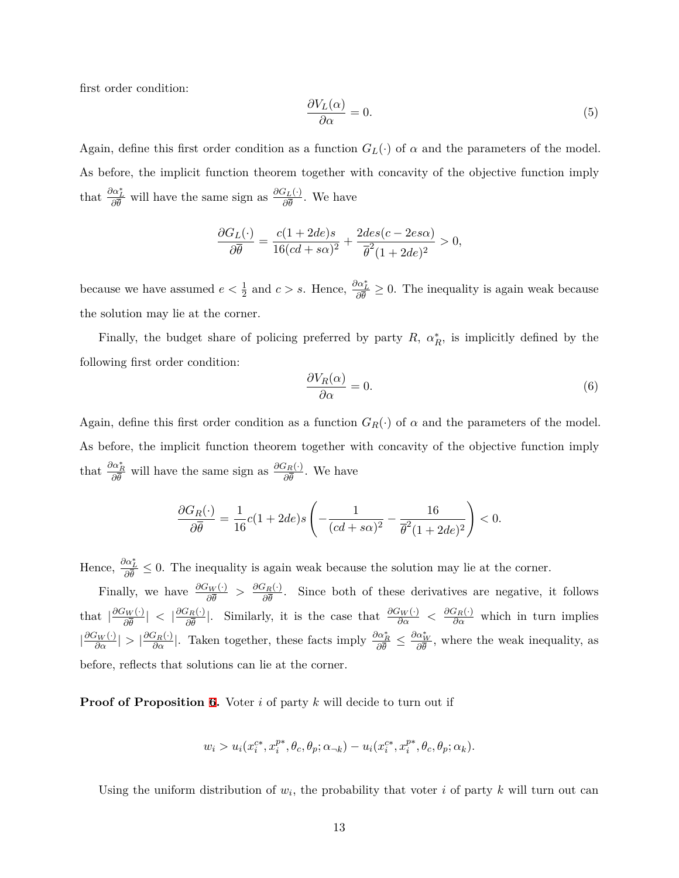first order condition:

$$
\frac{\partial V_L(\alpha)}{\partial \alpha} = 0. \tag{5}
$$

Again, define this first order condition as a function  $G_L(\cdot)$  of  $\alpha$  and the parameters of the model. As before, the implicit function theorem together with concavity of the objective function imply that  $\frac{\partial \alpha_L^*}{\partial \bar{\theta}}$  will have the same sign as  $\frac{\partial G_L(\cdot)}{\partial \bar{\theta}}$ . We have

$$
\frac{\partial G_L(\cdot)}{\partial \overline{\theta}} = \frac{c(1+2de)s}{16(cd+s\alpha)^2} + \frac{2des(c-2es\alpha)}{\overline{\theta}^2(1+2de)^2} > 0,
$$

because we have assumed  $e < \frac{1}{2}$  and  $c > s$ . Hence,  $\frac{\partial \alpha^*_{L}}{\partial \overline{\theta}} \geq 0$ . The inequality is again weak because the solution may lie at the corner.

Finally, the budget share of policing preferred by party  $R$ ,  $\alpha_R^*$ , is implicitly defined by the following first order condition:

$$
\frac{\partial V_R(\alpha)}{\partial \alpha} = 0. \tag{6}
$$

Again, define this first order condition as a function  $G_R(\cdot)$  of  $\alpha$  and the parameters of the model. As before, the implicit function theorem together with concavity of the objective function imply that  $\frac{\partial \alpha_R^*}{\partial \bar{\theta}}$  will have the same sign as  $\frac{\partial G_R(\cdot)}{\partial \bar{\theta}}$ . We have

$$
\frac{\partial G_R(\cdot)}{\partial \overline{\theta}} = \frac{1}{16}c(1+2de)s\left(-\frac{1}{(cd+so)^2} - \frac{16}{\overline{\theta}^2(1+2de)^2}\right) < 0.
$$

Hence,  $\frac{\partial \alpha_L^*}{\partial \theta} \leq 0$ . The inequality is again weak because the solution may lie at the corner.

Finally, we have  $\frac{\partial G_W(\cdot)}{\partial \bar{\theta}} > \frac{\partial G_R(\cdot)}{\partial \bar{\theta}}$ . Since both of these derivatives are negative, it follows that  $\left|\frac{\partial G_W(\cdot)}{\partial \overline{\theta}}\right| < \left|\frac{\partial G_R(\cdot)}{\partial \overline{\theta}}\right|$ . Similarly, it is the case that  $\frac{\partial G_W(\cdot)}{\partial \alpha} < \frac{\partial G_R(\cdot)}{\partial \alpha}$  which in turn implies  $\left|\frac{\partial G_W(\cdot)}{\partial \alpha}\right| > \left|\frac{\partial G_R(\cdot)}{\partial \alpha}\right|$ . Taken together, these facts imply  $\frac{\partial \alpha_R^*}{\partial \overline{\theta}} \leq \frac{\partial \alpha_W^*}{\partial \overline{\theta}}$ , where the weak inequality, as before, reflects that solutions can lie at the corner.

**Proof of Proposition 6.** Voter *i* of party *k* will decide to turn out if

$$
w_i > u_i(x_i^{c*}, x_i^{p*}, \theta_c, \theta_p; \alpha_{\neg k}) - u_i(x_i^{c*}, x_i^{p*}, \theta_c, \theta_p; \alpha_k).
$$

Using the uniform distribution of  $w_i$ , the probability that voter *i* of party *k* will turn out can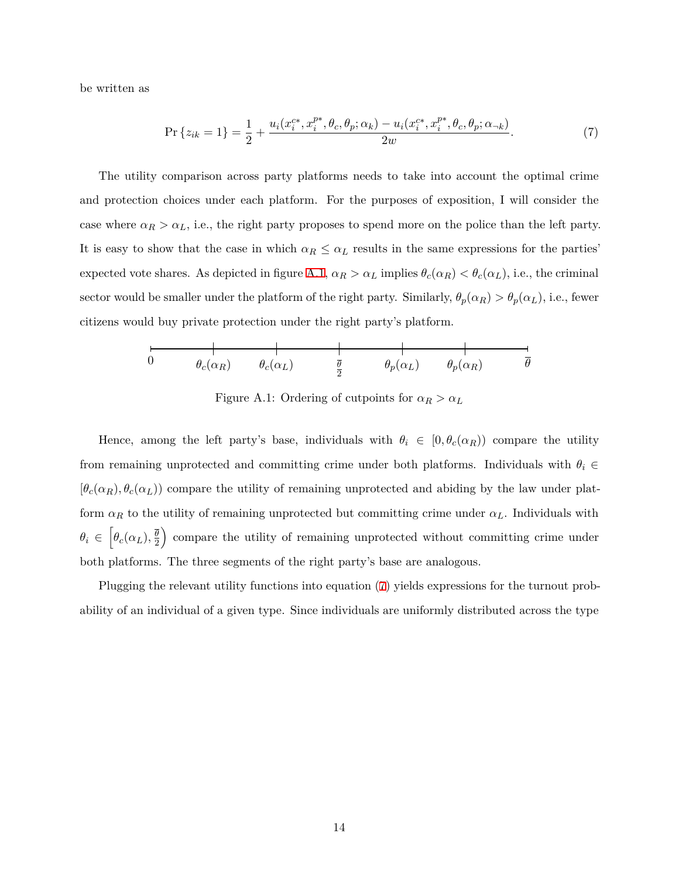be written as

<span id="page-13-1"></span>
$$
\Pr\left\{z_{ik}=1\right\} = \frac{1}{2} + \frac{u_i(x_i^{c*}, x_i^{p*}, \theta_c, \theta_p; \alpha_k) - u_i(x_i^{c*}, x_i^{p*}, \theta_c, \theta_p; \alpha_{\neg k})}{2w}.
$$
\n(7)

The utility comparison across party platforms needs to take into account the optimal crime and protection choices under each platform. For the purposes of exposition, I will consider the case where  $\alpha_R > \alpha_L$ , i.e., the right party proposes to spend more on the police than the left party. It is easy to show that the case in which  $\alpha_R \leq \alpha_L$  results in the same expressions for the parties' expected vote shares. As depicted in figure [A.1,](#page-13-0)  $\alpha_R > \alpha_L$  implies  $\theta_c(\alpha_R) < \theta_c(\alpha_L)$ , i.e., the criminal sector would be smaller under the platform of the right party. Similarly,  $\theta_p(\alpha_R) > \theta_p(\alpha_L)$ , i.e., fewer citizens would buy private protection under the right party's platform.

<span id="page-13-0"></span>
$$
\begin{array}{c|ccccc}\n & & & & & & \\
\hline\n0 & & & \theta_c(\alpha_R) & & \theta_c(\alpha_L) & & \frac{\overline{\theta}}{2} & & \theta_p(\alpha_L) & & \theta_p(\alpha_R) & & \overline{\theta}\n\end{array}
$$

Figure A.1: Ordering of cutpoints for  $\alpha_R > \alpha_L$ 

Hence, among the left party's base, individuals with  $\theta_i \in [0, \theta_c(\alpha_R))$  compare the utility from remaining unprotected and committing crime under both platforms. Individuals with  $\theta_i \in$  $[\theta_c(\alpha_R), \theta_c(\alpha_L))$  compare the utility of remaining unprotected and abiding by the law under platform  $\alpha_R$  to the utility of remaining unprotected but committing crime under  $\alpha_L$ . Individuals with  $\theta_i \in \left[ \theta_c(\alpha_L), \frac{\overline{\theta}}{2} \right]$  $\overline{2}$ ) compare the utility of remaining unprotected without committing crime under both platforms. The three segments of the right party's base are analogous.

Plugging the relevant utility functions into equation [\(7\)](#page-13-1) yields expressions for the turnout probability of an individual of a given type. Since individuals are uniformly distributed across the type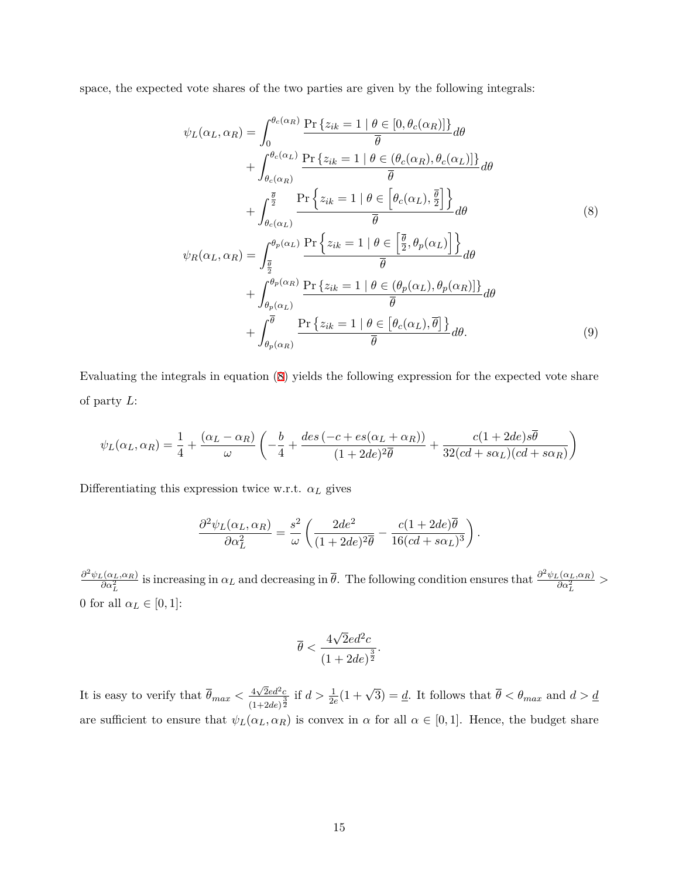space, the expected vote shares of the two parties are given by the following integrals:

<span id="page-14-0"></span>
$$
\psi_L(\alpha_L, \alpha_R) = \int_0^{\theta_c(\alpha_R)} \frac{\Pr\{z_{ik} = 1 \mid \theta \in [0, \theta_c(\alpha_R)]\}}{\overline{\theta}} d\theta \n+ \int_{\theta_c(\alpha_R)}^{\theta_c(\alpha_L)} \frac{\Pr\{z_{ik} = 1 \mid \theta \in (\theta_c(\alpha_R), \theta_c(\alpha_L)]\}}{\overline{\theta}} d\theta \n+ \int_{\theta_c(\alpha_L)}^{\overline{\theta}} \frac{\Pr\{z_{ik} = 1 \mid \theta \in [\theta_c(\alpha_L), \frac{\overline{\theta}}{2}]\}}{\overline{\theta}} d\theta \n\psi_R(\alpha_L, \alpha_R) = \int_{\frac{\overline{\theta}}{2}}^{\theta_p(\alpha_L)} \frac{\Pr\{z_{ik} = 1 \mid \theta \in [\frac{\overline{\theta}}{2}, \theta_p(\alpha_L)]\}}{\overline{\theta}} d\theta \n+ \int_{\theta_p(\alpha_L)}^{\theta_p(\alpha_R)} \frac{\Pr\{z_{ik} = 1 \mid \theta \in (\theta_p(\alpha_L), \theta_p(\alpha_R)]\}}{\overline{\theta}} d\theta \n+ \int_{\theta_p(\alpha_R)}^{\overline{\theta}} \frac{\Pr\{z_{ik} = 1 \mid \theta \in [\theta_c(\alpha_L), \overline{\theta}]\}}{\overline{\theta}} d\theta.
$$
\n(9)

Evaluating the integrals in equation ([8\)](#page-14-0) yields the following expression for the expected vote share of party *L*:

$$
\psi_L(\alpha_L, \alpha_R) = \frac{1}{4} + \frac{(\alpha_L - \alpha_R)}{\omega} \left( -\frac{b}{4} + \frac{des(-c + es(\alpha_L + \alpha_R))}{(1 + 2de)^2 \overline{\theta}} + \frac{c(1 + 2de)s\overline{\theta}}{32(cd + s\alpha_L)(cd + s\alpha_R)} \right)
$$

Differentiating this expression twice w.r.t.  $\alpha_L$  gives

$$
\frac{\partial^2 \psi_L(\alpha_L, \alpha_R)}{\partial \alpha_L^2} = \frac{s^2}{\omega} \left( \frac{2de^2}{(1 + 2de)^2 \overline{\theta}} - \frac{c(1 + 2de)\overline{\theta}}{16(cd + s\alpha_L)^3} \right).
$$

*∂* <sup>2</sup>*ψL*(*αL,αR*) *l*(*α<sub>L</sub>*,*α*<sub>*R*</sub>)</sub> is increasing in *α<sub>L</sub>* and decreasing in  $\bar{\theta}$ . The following condition ensures that  $\frac{\partial^2 \psi_L(\alpha_L, \alpha_R)}{\partial \alpha_L^2}$  $\frac{\partial G}{\partial \alpha_L^2}$  > 0 for all  $\alpha_L \in [0,1]$ :

<span id="page-14-1"></span>
$$
\overline{\theta} < \frac{4\sqrt{2}ed^2c}{(1+2de)^{\frac{3}{2}}}.
$$

It is easy to verify that  $\overline{\theta}_{max} < \frac{4\sqrt{2}ed^2c}{(4\sqrt{3})^{\frac{3}{2}}}$  $\frac{4\sqrt{2}ed^2c}{(1+2de)^{\frac{3}{2}}}$  if  $d > \frac{1}{2e}(1+\sqrt{3}) = \underline{d}$ . It follows that  $\overline{\theta} < \theta_{max}$  and  $d > \underline{d}$ are sufficient to ensure that  $\psi_L(\alpha_L, \alpha_R)$  is convex in  $\alpha$  for all  $\alpha \in [0, 1]$ . Hence, the budget share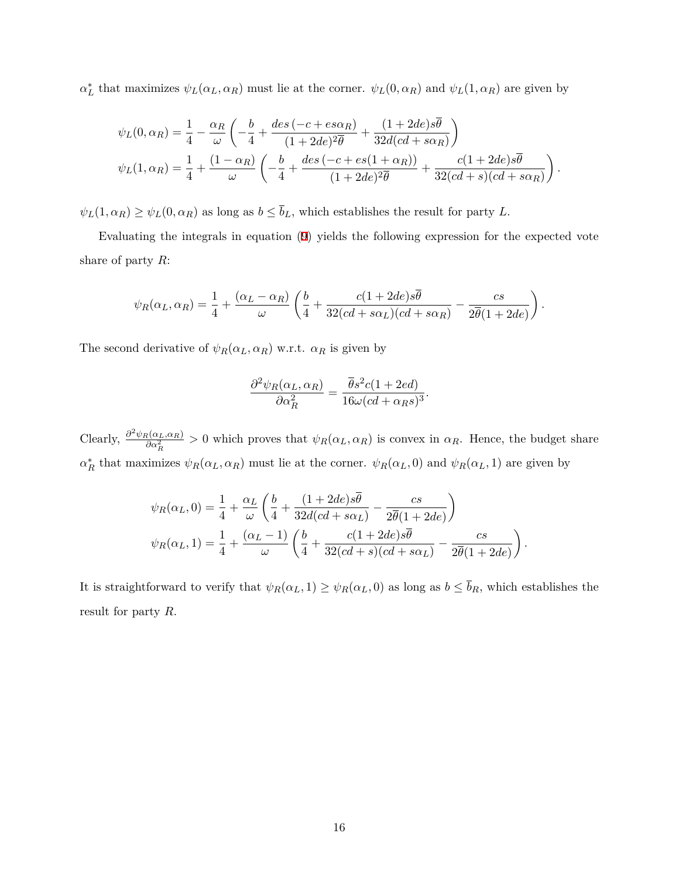*α*<sup>\*</sup><sub>*L*</sub></sub> that maximizes  $ψ$ <sub>*L*</sub>( $α$ <sub>*L*</sub>*,* $α$ <sub>*R*</sub>)</sub> must lie at the corner.  $ψ$ <sub>*L*</sub>(0*,* $α$ <sub>*R*</sub>) and  $ψ$ <sub>*L*</sub>(1*,* $α$ <sub>*R*</sub>) are given by

$$
\psi_L(0,\alpha_R) = \frac{1}{4} - \frac{\alpha_R}{\omega} \left( -\frac{b}{4} + \frac{des\left(-c + es\alpha_R\right)}{(1+2de)^2\overline{\theta}} + \frac{(1+2de)s\overline{\theta}}{32d(cd+so_R)} \right)
$$
  

$$
\psi_L(1,\alpha_R) = \frac{1}{4} + \frac{(1-\alpha_R)}{\omega} \left( -\frac{b}{4} + \frac{des\left(-c + es(1+\alpha_R)\right)}{(1+2de)^2\overline{\theta}} + \frac{c(1+2de)s\overline{\theta}}{32(cd+s)(cd+so_R)} \right).
$$

 $\psi_L(1, \alpha_R) \geq \psi_L(0, \alpha_R)$  as long as  $b \leq \overline{b}_L$ , which establishes the result for party *L*.

Evaluating the integrals in equation ([9](#page-14-1)) yields the following expression for the expected vote share of party *R*:

$$
\psi_R(\alpha_L, \alpha_R) = \frac{1}{4} + \frac{(\alpha_L - \alpha_R)}{\omega} \left( \frac{b}{4} + \frac{c(1 + 2de)s\overline{\theta}}{32(cd + s\alpha_L)(cd + s\alpha_R)} - \frac{cs}{2\overline{\theta}(1 + 2de)} \right).
$$

The second derivative of  $\psi_R(\alpha_L, \alpha_R)$  w.r.t.  $\alpha_R$  is given by

$$
\frac{\partial^2 \psi_R(\alpha_L, \alpha_R)}{\partial \alpha_R^2} = \frac{\overline{\theta} s^2 c (1 + 2ed)}{16 \omega (cd + \alpha_R s)^3}.
$$

 $\text{Clearly, } \frac{\partial^2 \psi_R(\alpha_L, \alpha_R)}{\partial \alpha^2}$  $\frac{\partial^2 (a_L, a_R)}{\partial a_R^2} > 0$  which proves that  $\psi_R(\alpha_L, \alpha_R)$  is convex in  $\alpha_R$ . Hence, the budget share  $\alpha_R^*$  that maximizes  $\psi_R(\alpha_L, \alpha_R)$  must lie at the corner.  $\psi_R(\alpha_L, 0)$  and  $\psi_R(\alpha_L, 1)$  are given by

$$
\psi_R(\alpha_L, 0) = \frac{1}{4} + \frac{\alpha_L}{\omega} \left( \frac{b}{4} + \frac{(1 + 2de)s\overline{\theta}}{32d(cd + s\alpha_L)} - \frac{cs}{2\overline{\theta}(1 + 2de)} \right)
$$
  

$$
\psi_R(\alpha_L, 1) = \frac{1}{4} + \frac{(\alpha_L - 1)}{\omega} \left( \frac{b}{4} + \frac{c(1 + 2de)s\overline{\theta}}{32(cd + s)(cd + s\alpha_L)} - \frac{cs}{2\overline{\theta}(1 + 2de)} \right).
$$

It is straightforward to verify that  $\psi_R(\alpha_L, 1) \geq \psi_R(\alpha_L, 0)$  as long as  $b \leq \overline{b}_R$ , which establishes the result for party *R*.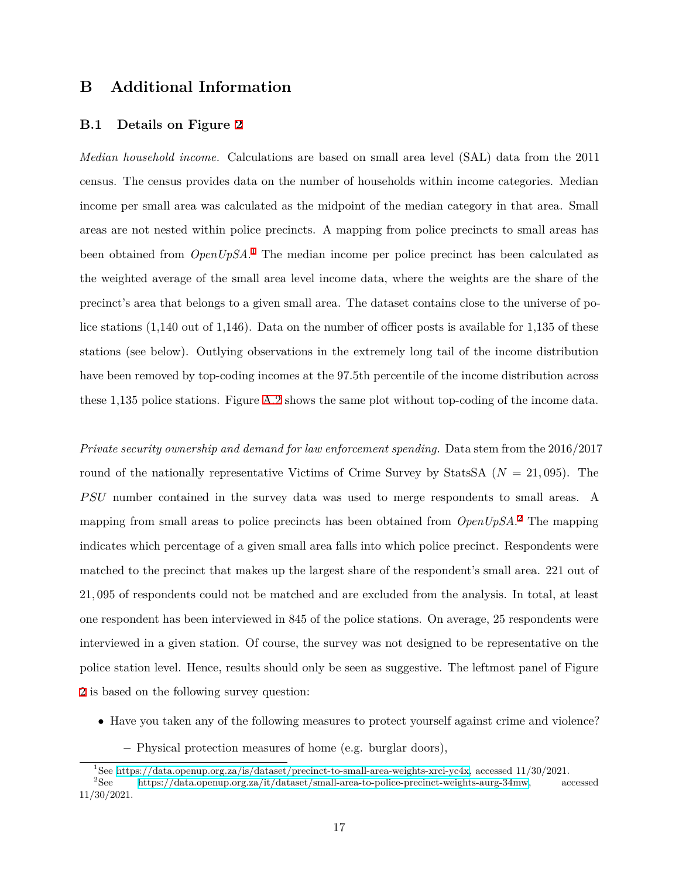### <span id="page-16-0"></span>**B Additional Information**

#### <span id="page-16-1"></span>**B.1 Details on Figure [2](#page-13-0)**

*Median household income.* Calculations are based on small area level (SAL) data from the 2011 census. The census provides data on the number of households within income categories. Median income per small area was calculated as the midpoint of the median category in that area. Small areas are not nested within police precincts. A mapping from police precincts to small areas has been obtained from *OpenUpSA*. [1](#page-16-2) The median income per police precinct has been calculated as the weighted average of the small area level income data, where the weights are the share of the precinct's area that belongs to a given small area. The dataset contains close to the universe of police stations (1,140 out of 1,146). Data on the number of officer posts is available for 1,135 of these stations (see below). Outlying observations in the extremely long tail of the income distribution have been removed by top-coding incomes at the 97.5th percentile of the income distribution across these 1,135 police stations. Figure [A.2](#page-18-1) shows the same plot without top-coding of the income data.

*Private security ownership and demand for law enforcement spending.* Data stem from the 2016/2017 round of the nationally representative Victims of Crime Survey by StatsSA  $(N = 21,095)$ . The *P SU* number contained in the survey data was used to merge respondents to small areas. A mapping from small areas to police precincts has been obtained from *OpenUpSA*. [2](#page-16-3) The mapping indicates which percentage of a given small area falls into which police precinct. Respondents were matched to the precinct that makes up the largest share of the respondent's small area. 221 out of 21*,* 095 of respondents could not be matched and are excluded from the analysis. In total, at least one respondent has been interviewed in 845 of the police stations. On average, 25 respondents were interviewed in a given station. Of course, the survey was not designed to be representative on the police station level. Hence, results should only be seen as suggestive. The leftmost panel of Figure [2](#page-13-0) is based on the following survey question:

- *•* Have you taken any of the following measures to protect yourself against crime and violence?
	- **–** Physical protection measures of home (e.g. burglar doors),

<span id="page-16-3"></span><span id="page-16-2"></span><sup>&</sup>lt;sup>1</sup>See <https://data.openup.org.za/is/dataset/precinct-to-small-area-weights-xrci-yc4x>, accessed 11/30/2021.<br><sup>2</sup>See https://data.openup.org.za/it/dataset/small-area-to-police-precinct-weights-aurg-34mw, ac

<sup>2</sup>See [https://data.openup.org.za/it/dataset/small-area-to-police-precinct-weights-aurg-34mw,](https://data.openup.org.za/it/dataset/small-area-to-police-precinct-weights-aurg-34mw) accessed 11/30/2021.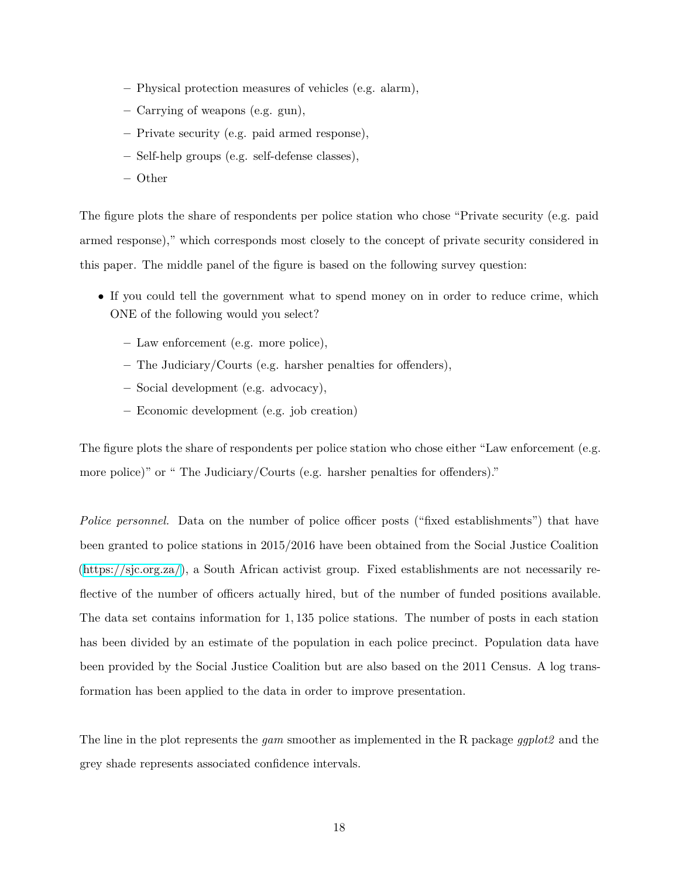- **–** Physical protection measures of vehicles (e.g. alarm),
- **–** Carrying of weapons (e.g. gun),
- **–** Private security (e.g. paid armed response),
- **–** Self-help groups (e.g. self-defense classes),
- **–** Other

The figure plots the share of respondents per police station who chose "Private security (e.g. paid armed response)," which corresponds most closely to the concept of private security considered in this paper. The middle panel of the figure is based on the following survey question:

- If you could tell the government what to spend money on in order to reduce crime, which ONE of the following would you select?
	- **–** Law enforcement (e.g. more police),
	- **–** The Judiciary/Courts (e.g. harsher penalties for offenders),
	- **–** Social development (e.g. advocacy),
	- **–** Economic development (e.g. job creation)

The figure plots the share of respondents per police station who chose either "Law enforcement (e.g. more police)" or " The Judiciary/Courts (e.g. harsher penalties for offenders)."

*Police personnel.* Data on the number of police officer posts ("fixed establishments") that have been granted to police stations in 2015/2016 have been obtained from the Social Justice Coalition ([https://sjc.org.za/\)](https://sjc.org.za/), a South African activist group. Fixed establishments are not necessarily reflective of the number of officers actually hired, but of the number of funded positions available. The data set contains information for 1*,* 135 police stations. The number of posts in each station has been divided by an estimate of the population in each police precinct. Population data have been provided by the Social Justice Coalition but are also based on the 2011 Census. A log transformation has been applied to the data in order to improve presentation.

The line in the plot represents the *gam* smoother as implemented in the R package *ggplot2* and the grey shade represents associated confidence intervals.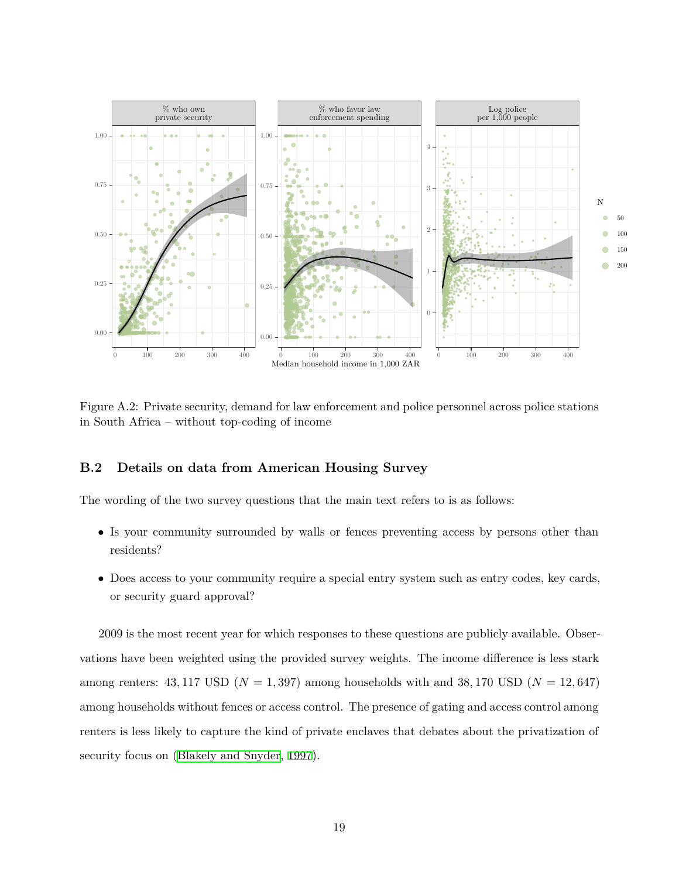<span id="page-18-1"></span>

Figure A.2: Private security, demand for law enforcement and police personnel across police stations in South Africa – without top-coding of income

#### <span id="page-18-0"></span>**B.2 Details on data from American Housing Survey**

The wording of the two survey questions that the main text refers to is as follows:

- Is your community surrounded by walls or fences preventing access by persons other than residents?
- Does access to your community require a special entry system such as entry codes, key cards, or security guard approval?

2009 is the most recent year for which responses to these questions are publicly available. Observations have been weighted using the provided survey weights. The income difference is less stark among renters:  $43,117$  USD ( $N = 1,397$ ) among households with and  $38,170$  USD ( $N = 12,647$ ) among households without fences or access control. The presence of gating and access control among renters is less likely to capture the kind of private enclaves that debates about the privatization of security focus on ([Blakely and Snyder,](#page-19-2) [1997](#page-19-2)).